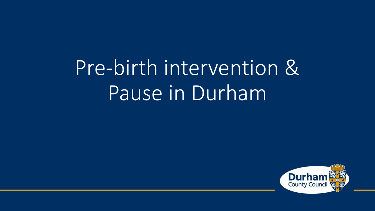# Pre-birth intervention & Pause in Durham

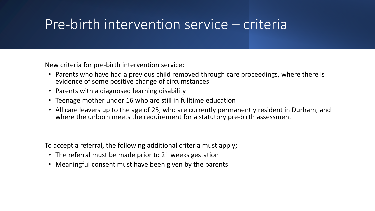### Pre-birth intervention service – criteria

New criteria for pre-birth intervention service;

- Parents who have had a previous child removed through care proceedings, where there is evidence of some positive change of circumstances
- Parents with a diagnosed learning disability
- Teenage mother under 16 who are still in fulltime education
- All care leavers up to the age of 25, who are currently permanently resident in Durham, and where the unborn meets the requirement for a statutory pre-birth assessment

To accept a referral, the following additional criteria must apply;

- The referral must be made prior to 21 weeks gestation
- Meaningful consent must have been given by the parents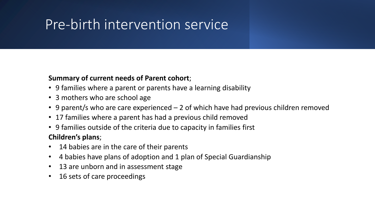# Pre-birth intervention service

### **Summary of current needs of Parent cohort**;

- 9 families where a parent or parents have a learning disability
- 3 mothers who are school age
- 9 parent/s who are care experienced 2 of which have had previous children removed
- 17 families where a parent has had a previous child removed
- 9 families outside of the criteria due to capacity in families first

### **Children's plans**;

- 14 babies are in the care of their parents
- 4 babies have plans of adoption and 1 plan of Special Guardianship
- 13 are unborn and in assessment stage
- 16 sets of care proceedings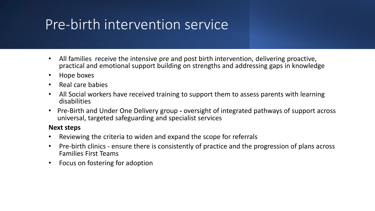# Pre-birth intervention service

- All families receive the intensive pre and post birth intervention, delivering proactive, practical and emotional support building on strengths and addressing gaps in knowledge
- Hope boxes
- Real care babies
- All Social workers have received training to support them to assess parents with learning disabilities
- Pre-Birth and Under One Delivery group **-** oversight of integrated pathways of support across universal, targeted safeguarding and specialist services

#### **Next steps**

- Reviewing the criteria to widen and expand the scope for referrals
- Pre-birth clinics ensure there is consistently of practice and the progression of plans across Families First Teams
- Focus on fostering for adoption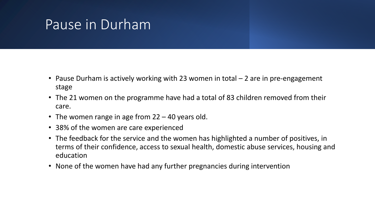### Pause in Durham

- Pause Durham is actively working with 23 women in total 2 are in pre-engagement stage
- The 21 women on the programme have had a total of 83 children removed from their care.
- The women range in age from 22 40 years old.
- 38% of the women are care experienced
- The feedback for the service and the women has highlighted a number of positives, in terms of their confidence, access to sexual health, domestic abuse services, housing and education
- None of the women have had any further pregnancies during intervention